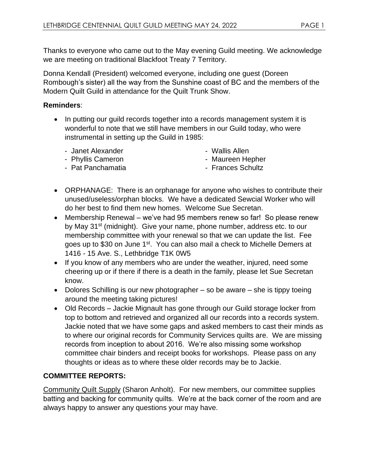Thanks to everyone who came out to the May evening Guild meeting. We acknowledge we are meeting on traditional Blackfoot Treaty 7 Territory.

Donna Kendall (President) welcomed everyone, including one guest (Doreen Rombough's sister) all the way from the Sunshine coast of BC and the members of the Modern Quilt Guild in attendance for the Quilt Trunk Show.

# **Reminders**:

- In putting our guild records together into a records management system it is wonderful to note that we still have members in our Guild today, who were instrumental in setting up the Guild in 1985:
	- Janet Alexander

- Wallis Allen

- Phyllis Cameron

- Maureen Hepher

- Pat Panchamatia

- Frances Schultz
- ORPHANAGE: There is an orphanage for anyone who wishes to contribute their unused/useless/orphan blocks. We have a dedicated Sewcial Worker who will do her best to find them new homes. Welcome Sue Secretan.
- Membership Renewal we've had 95 members renew so far! So please renew by May 31<sup>st</sup> (midnight). Give your name, phone number, address etc. to our membership committee with your renewal so that we can update the list. Fee goes up to \$30 on June 1<sup>st</sup>. You can also mail a check to Michelle Demers at 1416 - 15 Ave. S., Lethbridge T1K 0W5
- If you know of any members who are under the weather, injured, need some cheering up or if there if there is a death in the family, please let Sue Secretan know.
- Dolores Schilling is our new photographer so be aware she is tippy toeing around the meeting taking pictures!
- Old Records Jackie Mignault has gone through our Guild storage locker from top to bottom and retrieved and organized all our records into a records system. Jackie noted that we have some gaps and asked members to cast their minds as to where our original records for Community Services quilts are. We are missing records from inception to about 2016. We're also missing some workshop committee chair binders and receipt books for workshops. Please pass on any thoughts or ideas as to where these older records may be to Jackie.

# **COMMITTEE REPORTS:**

Community Quilt Supply (Sharon Anholt). For new members, our committee supplies batting and backing for community quilts. We're at the back corner of the room and are always happy to answer any questions your may have.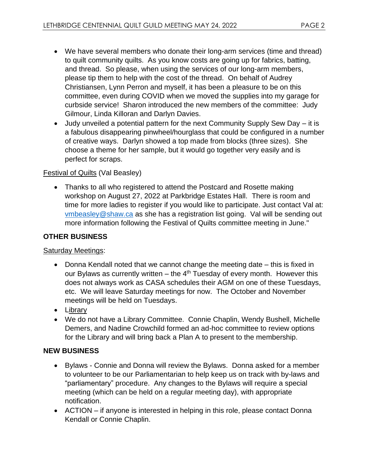- We have several members who donate their long-arm services (time and thread) to quilt community quilts. As you know costs are going up for fabrics, batting, and thread. So please, when using the services of our long-arm members, please tip them to help with the cost of the thread. On behalf of Audrey Christiansen, Lynn Perron and myself, it has been a pleasure to be on this committee, even during COVID when we moved the supplies into my garage for curbside service! Sharon introduced the new members of the committee: Judy Gilmour, Linda Killoran and Darlyn Davies.
- Judy unveiled a potential pattern for the next Community Supply Sew Day it is a fabulous disappearing pinwheel/hourglass that could be configured in a number of creative ways. Darlyn showed a top made from blocks (three sizes). She choose a theme for her sample, but it would go together very easily and is perfect for scraps.

## Festival of Quilts (Val Beasley)

• Thanks to all who registered to attend the Postcard and Rosette making workshop on August 27, 2022 at Parkbridge Estates Hall. There is room and time for more ladies to register if you would like to participate. Just contact Val at: vmbeasley@shaw.ca as she has a registration list going. Val will be sending out more information following the Festival of Quilts committee meeting in June."

#### **OTHER BUSINESS**

#### **Saturday Meetings:**

- Donna Kendall noted that we cannot change the meeting date this is fixed in our Bylaws as currently written – the  $4<sup>th</sup>$  Tuesday of every month. However this does not always work as CASA schedules their AGM on one of these Tuesdays, etc. We will leave Saturday meetings for now. The October and November meetings will be held on Tuesdays.
- Library
- We do not have a Library Committee. Connie Chaplin, Wendy Bushell, Michelle Demers, and Nadine Crowchild formed an ad-hoc committee to review options for the Library and will bring back a Plan A to present to the membership.

#### **NEW BUSINESS**

- Bylaws Connie and Donna will review the Bylaws. Donna asked for a member to volunteer to be our Parliamentarian to help keep us on track with by-laws and "parliamentary" procedure. Any changes to the Bylaws will require a special meeting (which can be held on a regular meeting day), with appropriate notification.
- ACTION if anyone is interested in helping in this role, please contact Donna Kendall or Connie Chaplin.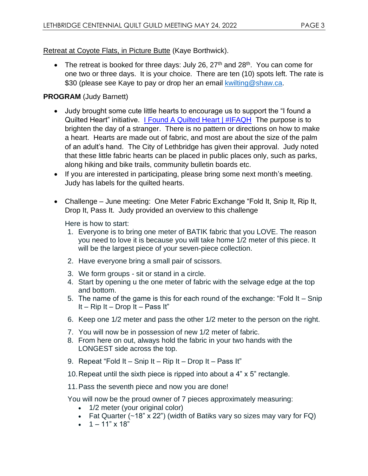#### Retreat at Coyote Flats, in Picture Butte (Kaye Borthwick).

• The retreat is booked for three days: July 26,  $27<sup>th</sup>$  and  $28<sup>th</sup>$ . You can come for one two or three days. It is your choice. There are ten (10) spots left. The rate is \$30 (please see Kaye to pay or drop her an email kwilting@shaw.ca.

## **PROGRAM** (Judy Barnett)

- Judy brought some cute little hearts to encourage us to support the "I found a Quilted Heart" initiative. I Found A Quilted Heart | #IFAQH The purpose is to brighten the day of a stranger. There is no pattern or directions on how to make a heart. Hearts are made out of fabric, and most are about the size of the palm of an adult's hand. The City of Lethbridge has given their approval. Judy noted that these little fabric hearts can be placed in public places only, such as parks, along hiking and bike trails, community bulletin boards etc.
- If you are interested in participating, please bring some next month's meeting. Judy has labels for the quilted hearts.
- Challenge June meeting: One Meter Fabric Exchange "Fold It, Snip It, Rip It, Drop It, Pass It. Judy provided an overview to this challenge

Here is how to start:

- 1. Everyone is to bring one meter of BATIK fabric that you LOVE. The reason you need to love it is because you will take home 1/2 meter of this piece. It will be the largest piece of your seven-piece collection.
- 2. Have everyone bring a small pair of scissors.
- 3. We form groups sit or stand in a circle.
- 4. Start by opening u the one meter of fabric with the selvage edge at the top and bottom.
- 5. The name of the game is this for each round of the exchange: "Fold It Snip It – Rip It – Drop It – Pass It"
- 6. Keep one 1/2 meter and pass the other 1/2 meter to the person on the right.
- 7. You will now be in possession of new 1/2 meter of fabric.
- 8. From here on out, always hold the fabric in your two hands with the LONGEST side across the top.
- 9. Repeat "Fold It Snip It Rip It Drop It Pass It"
- 10.Repeat until the sixth piece is ripped into about a 4" x 5" rectangle.
- 11.Pass the seventh piece and now you are done!

You will now be the proud owner of 7 pieces approximately measuring:

- 1/2 meter (your original color)
- Fat Quarter (~18" x 22") (width of Batiks vary so sizes may vary for FQ)
- $1 11" \times 18"$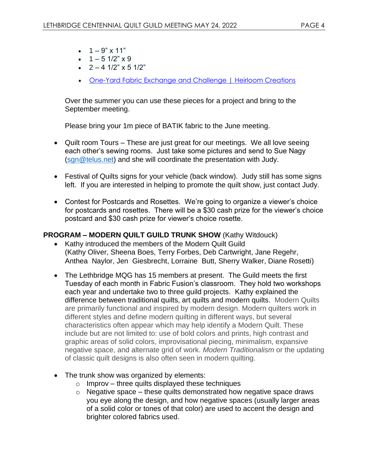- $1 9" \times 11"$
- $1 5$  1/2"  $\times$  9
- $2 4$  1/2"  $\times$  5 1/2"
- One-Yard Fabric Exchange and Challenge | Heirloom Creations

Over the summer you can use these pieces for a project and bring to the September meeting.

Please bring your 1m piece of BATIK fabric to the June meeting.

- Quilt room Tours These are just great for our meetings. We all love seeing each other's sewing rooms. Just take some pictures and send to Sue Nagy (sgn@telus.net) and she will coordinate the presentation with Judy.
- Festival of Quilts signs for your vehicle (back window). Judy still has some signs left. If you are interested in helping to promote the quilt show, just contact Judy.
- Contest for Postcards and Rosettes. We're going to organize a viewer's choice for postcards and rosettes. There will be a \$30 cash prize for the viewer's choice postcard and \$30 cash prize for viewer's choice rosette.

#### **PROGRAM – MODERN QUILT GUILD TRUNK SHOW** (Kathy Witdouck)

- Kathy introduced the members of the Modern Quilt Guild (Kathy Oliver, Sheena Boes, Terry Forbes, Deb Cartwright, Jane Regehr, Anthea Naylor, Jen Giesbrecht, Lorraine Butt, Sherry Walker, Diane Rosetti)
- The Lethbridge MQG has 15 members at present. The Guild meets the first Tuesday of each month in Fabric Fusion's classroom. They hold two workshops each year and undertake two to three guild projects. Kathy explained the difference between traditional quilts, art quilts and modern quilts. Modern Quilts are primarily functional and inspired by modern design. Modern quilters work in different styles and define modern quilting in different ways, but several characteristics often appear which may help identify a Modern Quilt. These include but are not limited to: use of bold colors and prints, high contrast and graphic areas of solid colors, improvisational piecing, minimalism, expansive negative space, and alternate grid of work. *Modern Traditionalism* or the updating of classic quilt designs is also often seen in modern quilting.
- The trunk show was organized by elements:
	- $\circ$  Improv three quilts displayed these techniques
	- $\circ$  Negative space these quilts demonstrated how negative space draws you eye along the design, and how negative spaces (usually larger areas of a solid color or tones of that color) are used to accent the design and brighter colored fabrics used.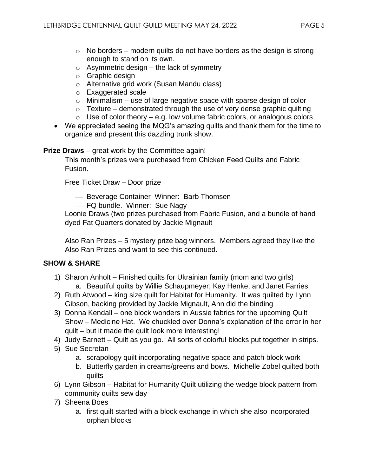- $\circ$  No borders modern quilts do not have borders as the design is strong enough to stand on its own.
- $\circ$  Asymmetric design the lack of symmetry
- o Graphic design
- o Alternative grid work (Susan Mandu class)
- o Exaggerated scale
- $\circ$  Minimalism use of large negative space with sparse design of color
- $\circ$  Texture demonstrated through the use of very dense graphic quilting
- $\circ$  Use of color theory e.g. low volume fabric colors, or analogous colors
- We appreciated seeing the MQG's amazing quilts and thank them for the time to organize and present this dazzling trunk show.

**Prize Draws** – great work by the Committee again!

This month's prizes were purchased from Chicken Feed Quilts and Fabric Fusion.

Free Ticket Draw – Door prize

⎯ Beverage Container Winner: Barb Thomsen

- FQ bundle. Winner: Sue Nagy

Loonie Draws (two prizes purchased from Fabric Fusion, and a bundle of hand dyed Fat Quarters donated by Jackie Mignault

Also Ran Prizes – 5 mystery prize bag winners. Members agreed they like the Also Ran Prizes and want to see this continued.

# **SHOW & SHARE**

- 1) Sharon Anholt Finished quilts for Ukrainian family (mom and two girls) a. Beautiful quilts by Willie Schaupmeyer; Kay Henke, and Janet Farries
- 2) Ruth Atwood king size quilt for Habitat for Humanity. It was quilted by Lynn Gibson, backing provided by Jackie Mignault, Ann did the binding
- 3) Donna Kendall one block wonders in Aussie fabrics for the upcoming Quilt Show – Medicine Hat. We chuckled over Donna's explanation of the error in her quilt – but it made the quilt look more interesting!
- 4) Judy Barnett Quilt as you go. All sorts of colorful blocks put together in strips.
- 5) Sue Secretan
	- a. scrapology quilt incorporating negative space and patch block work
	- b. Butterfly garden in creams/greens and bows. Michelle Zobel quilted both quilts
- 6) Lynn Gibson Habitat for Humanity Quilt utilizing the wedge block pattern from community quilts sew day
- 7) Sheena Boes
	- a. first quilt started with a block exchange in which she also incorporated orphan blocks